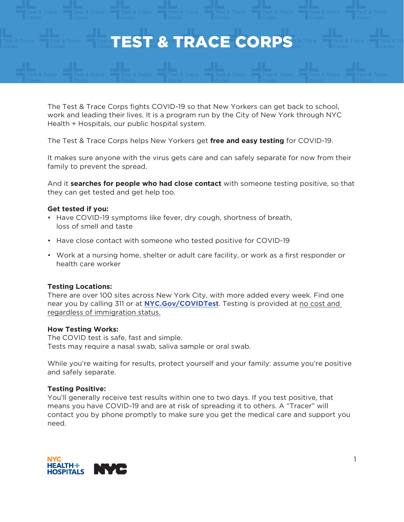

The Test & Trace Corps fights COVID-19 so that New Yorkers can get back to school, work and leading their lives. It is a program run by the City of New York through NYC Health + Hospitals, our public hospital system.

The Test & Trace Corps helps New Yorkers get **free and easy testing** for COVID-19.

It makes sure anyone with the virus gets care and can safely separate for now from their family to prevent the spread.

And it **searches for people who had close contact** with someone testing positive, so that they can get tested and get help too.

## **Get tested if you:**

- Have COVID-19 symptoms like fever, dry cough, shortness of breath, loss of smell and taste
- Have close contact with someone who tested positive for COVID-19
- Work at a nursing home, shelter or adult care facility, or work as a first responder or health care worker

# **Testing Locations:**

There are over 100 sites across New York City, with more added every week. Find one near you by calling 311 or at **NY[C.Gov/COVIDTest](https://www1.nyc.gov/site/coronavirus/resources/covid-testing.page)**. Testing is provided at no cost and regardless of immigration status.

## **How Testing Works:**

The COVID test is safe, fast and simple. Tests may require a nasal swab, saliva sample or oral swab.

While you're waiting for results, protect yourself and your family: assume you're positive and safely separate.

## **Testing Positive:**

You'll generally receive test results within one to two days. If you test positive, that means you have COVID-19 and are at risk of spreading it to others. A "Tracer" will contact you by phone promptly to make sure you get the medical care and support you need.